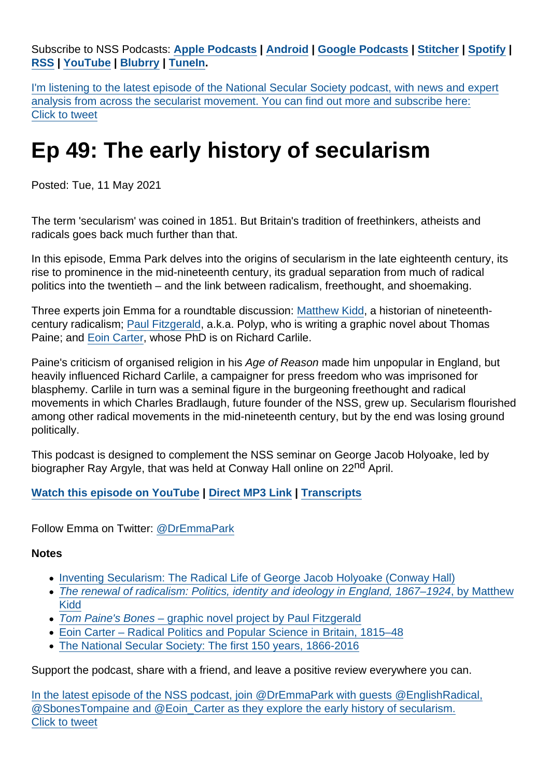Subscribe to NSS Podcasts: [Apple Podcasts](https://itunes.apple.com/gb/podcast/national-secular-society-podcast/id1452493582?mt=2) | [Android](https://subscribeonandroid.com/secularism.blubrry.net/feed/podcast/) | [Google Podcasts](https://www.google.com/podcasts?feed=aHR0cHM6Ly9zZWN1bGFyaXNtLmJsdWJycnkubmV0L2ZlZWQvcG9kY2FzdC8) | [Stitcher](https://www.stitcher.com/podcast/national-secular-society-podcast) | [Spotify](https://open.spotify.com/show/4YUdgznRhQwCtJRRLwbeXU) | [RSS](https://secularism.blubrry.net/feed/podcast/) | [YouTube](http://bit.ly/2TFGMDO) | [Blubrry](https://www.blubrry.com/secularism/) | [TuneIn](https://tunein.com/podcasts/News--Politics-Podcasts/National-Secular-Society-Podcast-p1188177/).

I'm listening to the latest episode of the National Secular Society podcast, with news and expert analysis from across the secularist movement. You can find out more and subscribe here: Click to tweet

## Ep 49: The early history of secularism

Posted: Tue, 11 May 2021

The term 'secularism' was coined in 1851. But Britain's tradition of freethinkers, atheists and radicals goes back much further than that.

In this episode, Emma Park delves into the origins of secularism in the late eighteenth century, its rise to prominence in the mid-nineteenth century, its gradual separation from much of radical politics into the twentieth – and the link between radicalism, freethought, and shoemaking.

Three experts join Emma for a roundtable discussion: [Matthew Kidd](https://twitter.com/EnglishRadical), a historian of nineteenthcentury radicalism; [Paul Fitzgerald](https://twitter.com/SbonesTompaine), a.k.a. Polyp, who is writing a graphic novel about Thomas Paine; and [Eoin Carter](https://twitter.com/Eoin_Carter), whose PhD is on Richard Carlile.

Paine's criticism of organised religion in his Age of Reason made him unpopular in England, but heavily influenced Richard Carlile, a campaigner for press freedom who was imprisoned for blasphemy. Carlile in turn was a seminal figure in the burgeoning freethought and radical movements in which Charles Bradlaugh, future founder of the NSS, grew up. Secularism flourished among other radical movements in the mid-nineteenth century, but by the end was losing ground politically.

This podcast is designed to complement the NSS seminar on George Jacob Holyoake, led by biographer Ray Argyle, that was held at Conway Hall online on 22<sup>nd</sup> April.

[Watch this episode on YouTube](https://www.youtube.com/watch?v=4tS6FOQzbpo) | [Direct MP3 Link](https://media.blubrry.com/secularism/content.blubrry.com/secularism/NSS_Ep49_early_history_of_secularism.mp3) | [Transcripts](https://www.secularism.org.uk/transcripts)

Follow Emma on Twitter: [@DrEmmaPark](https://twitter.com/DrEmmaPark)

**Notes** 

- [Inventing Secularism: The Radical Life of George Jacob Holyoake \(Conway Hall\)](https://conwayhall.org.uk/event/online-national-secular-society-inventing-secularism-the-radical-life-of-george-jacob-holyoake-book-launch-with-ray-argyle/)
- [The renewal of radicalism: Politics, identity and ideology in England, 1867–1924, by Matthew](https://manchesteruniversitypress.co.uk/9781526140722/) [Kidd](https://manchesteruniversitypress.co.uk/9781526140722/)
- [Tom Paine's Bones graphic novel project by Paul Fitzgerald](https://www.facebook.com/groups/368130724309879/)
- [Eoin Carter Radical Politics and Popular Science in Britain, 1815–48](https://www.people.hps.cam.ac.uk/index/phd-students/carter)
- [The National Secular Society: The first 150 years, 1866-2016](https://www.secularism.org.uk/uploads/the-national-secular-society-the-first-150-years-(1866-2016).pdf)

Support the podcast, share with a friend, and leave a positive review everywhere you can.

In the latest episode of the NSS podcast, join @DrEmmaPark with guests @EnglishRadical, @SbonesTompaine and @Eoin\_Carter as they explore the early history of secularism. Click to tweet